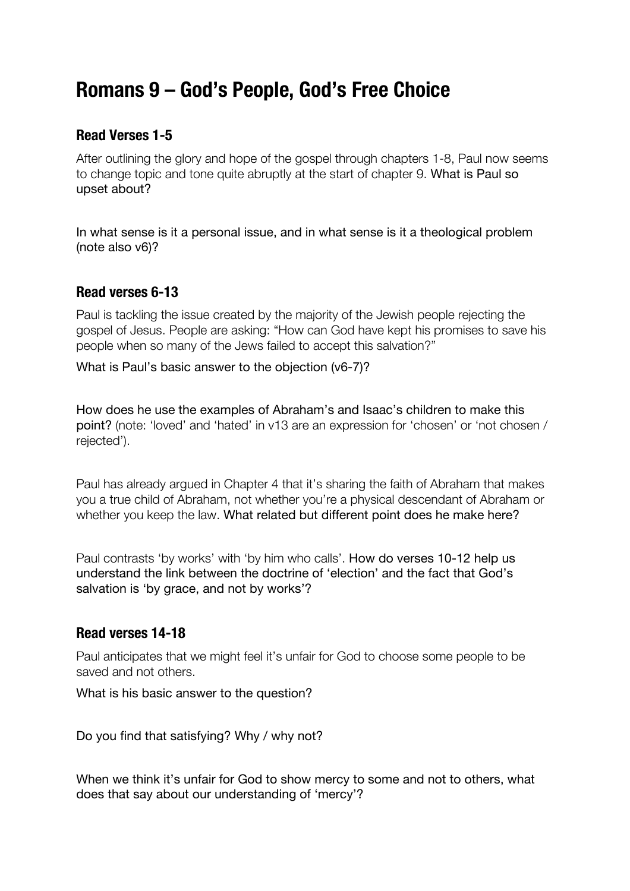# **Romans 9 – God's People, God's Free Choice**

# **Read Verses 1-5**

After outlining the glory and hope of the gospel through chapters 1-8, Paul now seems to change topic and tone quite abruptly at the start of chapter 9. What is Paul so upset about?

In what sense is it a personal issue, and in what sense is it a theological problem (note also v6)?

## **Read verses 6-13**

Paul is tackling the issue created by the majority of the Jewish people rejecting the gospel of Jesus. People are asking: "How can God have kept his promises to save his people when so many of the Jews failed to accept this salvation?"

What is Paul's basic answer to the objection (v6-7)?

How does he use the examples of Abraham's and Isaac's children to make this point? (note: 'loved' and 'hated' in v13 are an expression for 'chosen' or 'not chosen / rejected').

Paul has already argued in Chapter 4 that it's sharing the faith of Abraham that makes you a true child of Abraham, not whether you're a physical descendant of Abraham or whether you keep the law. What related but different point does he make here?

Paul contrasts 'by works' with 'by him who calls'. How do verses 10-12 help us understand the link between the doctrine of 'election' and the fact that God's salvation is 'by grace, and not by works'?

#### **Read verses 14-18**

Paul anticipates that we might feel it's unfair for God to choose some people to be saved and not others.

What is his basic answer to the question?

Do you find that satisfying? Why / why not?

When we think it's unfair for God to show mercy to some and not to others, what does that say about our understanding of 'mercy'?